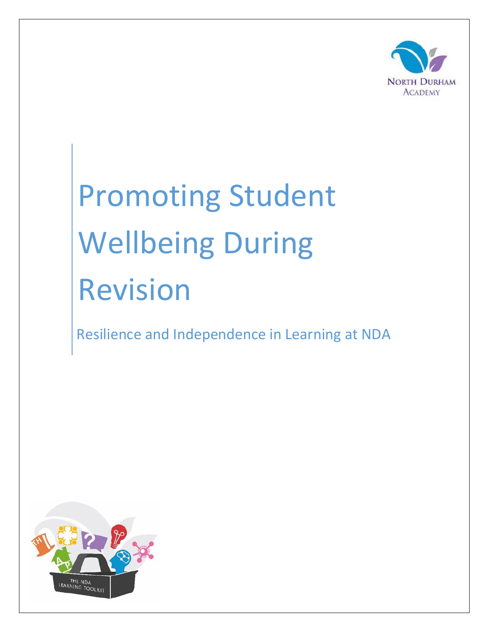

# Promoting Student Wellbeing During Revision

Resilience and Independence in Learning at NDA

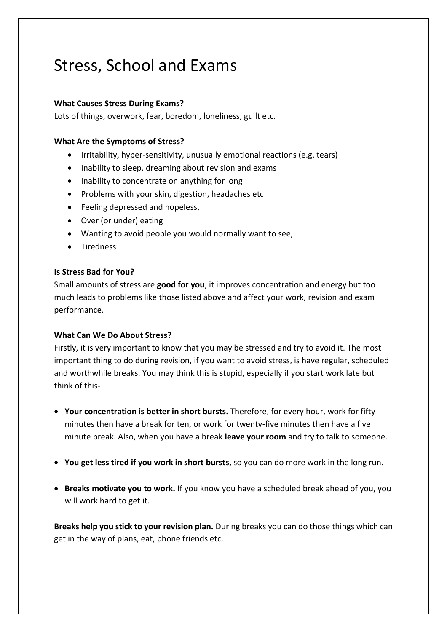## Stress, School and Exams

### **What Causes Stress During Exams?**

Lots of things, overwork, fear, boredom, loneliness, guilt etc.

#### **What Are the Symptoms of Stress?**

- Irritability, hyper-sensitivity, unusually emotional reactions (e.g. tears)
- Inability to sleep, dreaming about revision and exams
- Inability to concentrate on anything for long
- Problems with your skin, digestion, headaches etc
- Feeling depressed and hopeless,
- Over (or under) eating
- Wanting to avoid people you would normally want to see,
- Tiredness

#### **Is Stress Bad for You?**

Small amounts of stress are **good for you**, it improves concentration and energy but too much leads to problems like those listed above and affect your work, revision and exam performance.

#### **What Can We Do About Stress?**

Firstly, it is very important to know that you may be stressed and try to avoid it. The most important thing to do during revision, if you want to avoid stress, is have regular, scheduled and worthwhile breaks. You may think this is stupid, especially if you start work late but think of this-

- **Your concentration is better in short bursts.** Therefore, for every hour, work for fifty minutes then have a break for ten, or work for twenty-five minutes then have a five minute break. Also, when you have a break **leave your room** and try to talk to someone.
- **You get less tired if you work in short bursts,** so you can do more work in the long run.
- **Breaks motivate you to work.** If you know you have a scheduled break ahead of you, you will work hard to get it.

**Breaks help you stick to your revision plan.** During breaks you can do those things which can get in the way of plans, eat, phone friends etc.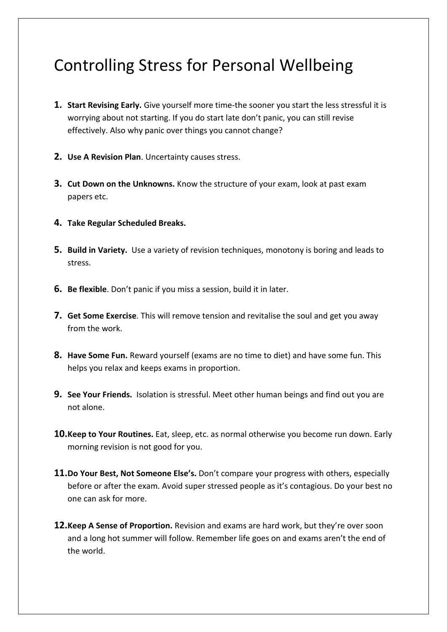## Controlling Stress for Personal Wellbeing

- **1. Start Revising Early.** Give yourself more time-the sooner you start the less stressful it is worrying about not starting. If you do start late don't panic, you can still revise effectively. Also why panic over things you cannot change?
- **2. Use A Revision Plan**. Uncertainty causes stress.
- **3. Cut Down on the Unknowns.** Know the structure of your exam, look at past exam papers etc.
- **4. Take Regular Scheduled Breaks.**
- **5. Build in Variety.** Use a variety of revision techniques, monotony is boring and leads to stress.
- **6. Be flexible**. Don't panic if you miss a session, build it in later.
- **7. Get Some Exercise**. This will remove tension and revitalise the soul and get you away from the work.
- **8. Have Some Fun.** Reward yourself (exams are no time to diet) and have some fun. This helps you relax and keeps exams in proportion.
- **9. See Your Friends.** Isolation is stressful. Meet other human beings and find out you are not alone.
- **10.Keep to Your Routines.** Eat, sleep, etc. as normal otherwise you become run down. Early morning revision is not good for you.
- **11.Do Your Best, Not Someone Else's.** Don't compare your progress with others, especially before or after the exam. Avoid super stressed people as it's contagious. Do your best no one can ask for more.
- **12.Keep A Sense of Proportion.** Revision and exams are hard work, but they're over soon and a long hot summer will follow. Remember life goes on and exams aren't the end of the world.